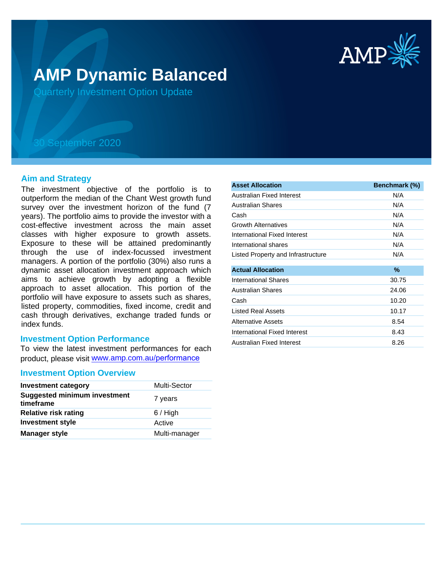

# **AMP Dynamic Balanced**

Quarterly Investment Option Update

## 30 September 2020

## **Aim and Strategy**

The investment objective of the portfolio is to outperform the median of the Chant West growth fund survey over the investment horizon of the fund (7 years). The portfolio aims to provide the investor with a cost-effective investment across the main asset classes with higher exposure to growth assets. Exposure to these will be attained predominantly through the use of index-focussed investment managers. A portion of the portfolio (30%) also runs a dynamic asset allocation investment approach which aims to achieve growth by adopting a flexible approach to asset allocation. This portion of the portfolio will have exposure to assets such as shares, listed property, commodities, fixed income, credit and cash through derivatives, exchange traded funds or index funds.

## **Investment Option Performance**

To view the latest investment performances for each product, please visit www.amp.com.au/performance

### **Investment Option Overview**

| <b>Investment category</b>                       | Multi-Sector  |
|--------------------------------------------------|---------------|
| <b>Suggested minimum investment</b><br>timeframe | 7 years       |
| <b>Relative risk rating</b>                      | $6/$ High     |
| <b>Investment style</b>                          | Active        |
| <b>Manager style</b>                             | Multi-manager |

| <b>Asset Allocation</b>            | Benchmark (%) |
|------------------------------------|---------------|
| Australian Fixed Interest          | N/A           |
| Australian Shares                  | N/A           |
| Cash                               | N/A           |
| <b>Growth Alternatives</b>         | N/A           |
| International Fixed Interest       | N/A           |
| International shares               | N/A           |
| Listed Property and Infrastructure | N/A           |
|                                    |               |
| <b>Actual Allocation</b>           | %             |
| International Shares               | 30.75         |
| Australian Shares                  | 24.06         |
| Cash                               | 10.20         |
| <b>Listed Real Assets</b>          | 10.17         |
| Alternative Assets                 | 8.54          |
| International Fixed Interest       | 8.43          |
| Australian Fixed Interest          | 8.26          |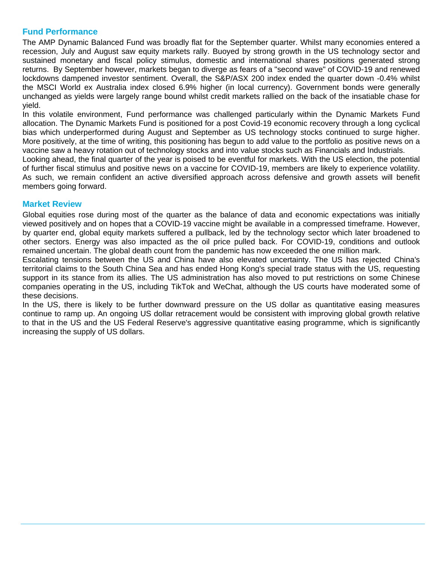## **Fund Performance**

The AMP Dynamic Balanced Fund was broadly flat for the September quarter. Whilst many economies entered a recession, July and August saw equity markets rally. Buoyed by strong growth in the US technology sector and sustained monetary and fiscal policy stimulus, domestic and international shares positions generated strong returns. By September however, markets began to diverge as fears of a "second wave" of COVID-19 and renewed lockdowns dampened investor sentiment. Overall, the S&P/ASX 200 index ended the quarter down -0.4% whilst the MSCI World ex Australia index closed 6.9% higher (in local currency). Government bonds were generally unchanged as yields were largely range bound whilst credit markets rallied on the back of the insatiable chase for yield.

In this volatile environment, Fund performance was challenged particularly within the Dynamic Markets Fund allocation. The Dynamic Markets Fund is positioned for a post Covid-19 economic recovery through a long cyclical bias which underperformed during August and September as US technology stocks continued to surge higher. More positively, at the time of writing, this positioning has begun to add value to the portfolio as positive news on a vaccine saw a heavy rotation out of technology stocks and into value stocks such as Financials and Industrials.

Looking ahead, the final quarter of the year is poised to be eventful for markets. With the US election, the potential of further fiscal stimulus and positive news on a vaccine for COVID-19, members are likely to experience volatility. As such, we remain confident an active diversified approach across defensive and growth assets will benefit members going forward.

## **Market Review**

Global equities rose during most of the quarter as the balance of data and economic expectations was initially viewed positively and on hopes that a COVID-19 vaccine might be available in a compressed timeframe. However, by quarter end, global equity markets suffered a pullback, led by the technology sector which later broadened to other sectors. Energy was also impacted as the oil price pulled back. For COVID-19, conditions and outlook remained uncertain. The global death count from the pandemic has now exceeded the one million mark.

Escalating tensions between the US and China have also elevated uncertainty. The US has rejected China's territorial claims to the South China Sea and has ended Hong Kong's special trade status with the US, requesting support in its stance from its allies. The US administration has also moved to put restrictions on some Chinese companies operating in the US, including TikTok and WeChat, although the US courts have moderated some of these decisions.

In the US, there is likely to be further downward pressure on the US dollar as quantitative easing measures continue to ramp up. An ongoing US dollar retracement would be consistent with improving global growth relative to that in the US and the US Federal Reserve's aggressive quantitative easing programme, which is significantly increasing the supply of US dollars.